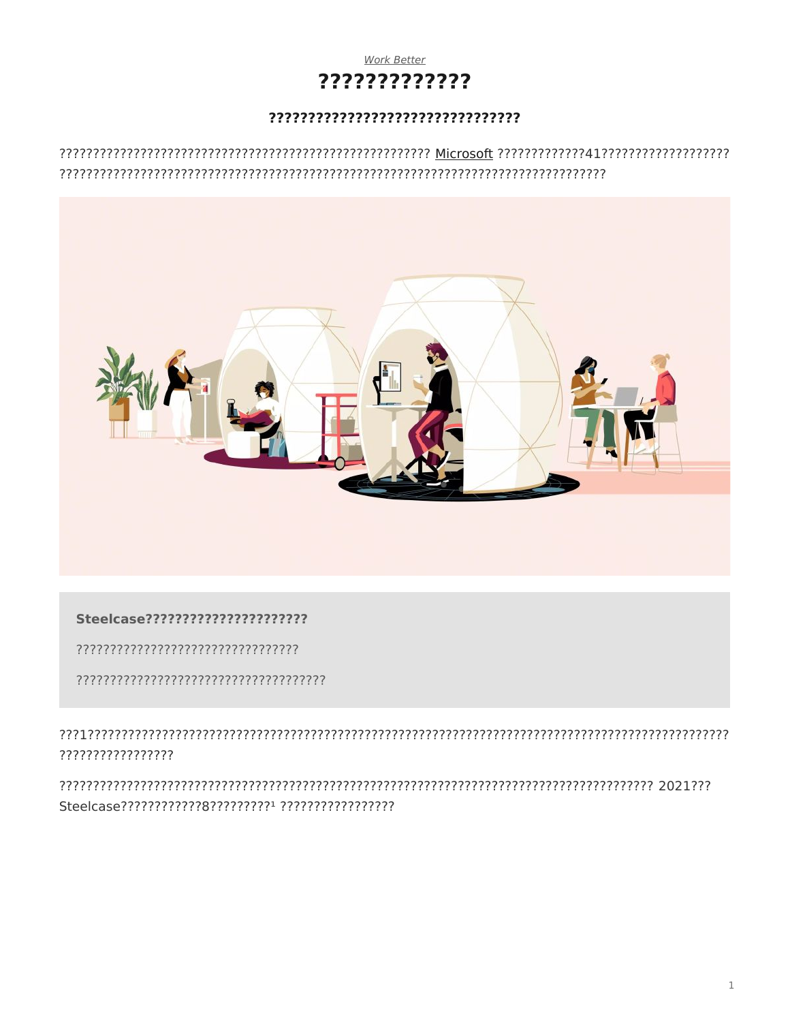# **Work Better** ?????????????

### 



### Steelcase??????????????????????

????????????????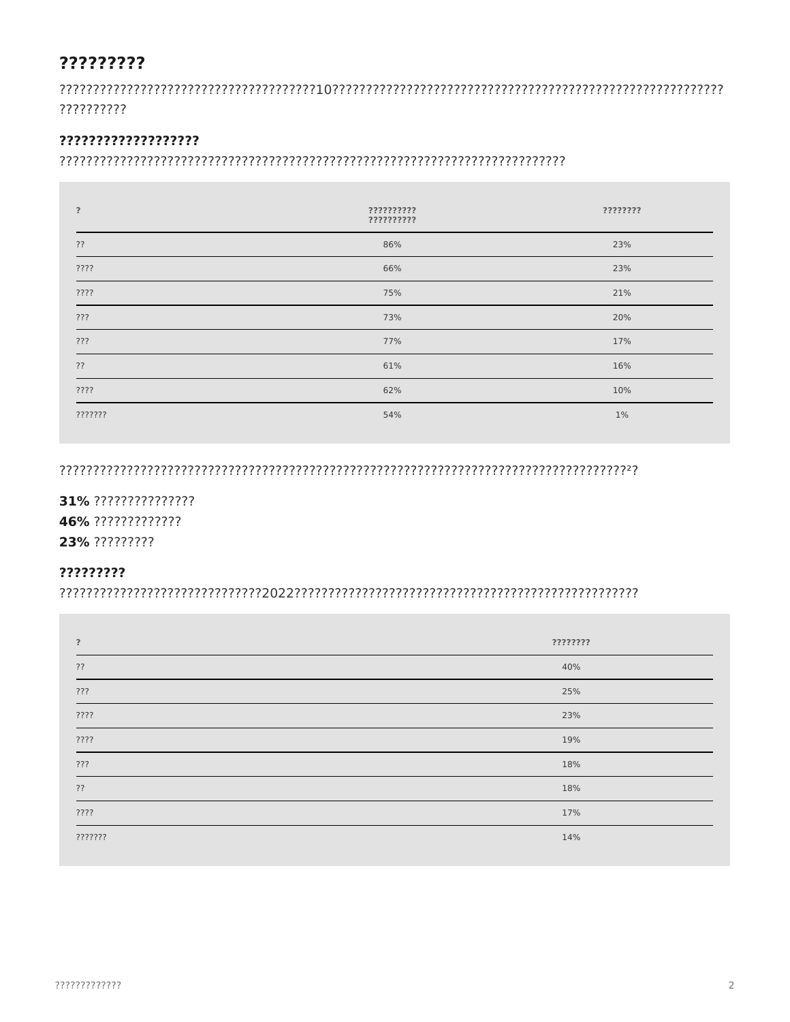# ?????????

??????????

### ???????????????????

| $\overline{?}$ | ??????????<br>?????????? | ???????? |
|----------------|--------------------------|----------|
| ??             | 86%                      | 23%      |
| ????           | 66%                      | 23%      |
| ????           | 75%                      | 21%      |
| ???            | 73%                      | 20%      |
| ???            | 77%                      | 17%      |
| ??             | 61%                      | 16%      |
| ????           | 62%                      | 10%      |
| ???????        | 54%                      | $1\%$    |

31% ???????????????? 46% ?????????????? 23% ?????????

### ?????????

| ?        | ???????? |
|----------|----------|
| ??       | 40%      |
| ???      | 25%      |
| ????     | 23%      |
| ????     | 19%      |
| ???      | 18%      |
| ??       | 18%      |
| $??\; ?$ | 17%      |
| ???????  | 14%      |
|          |          |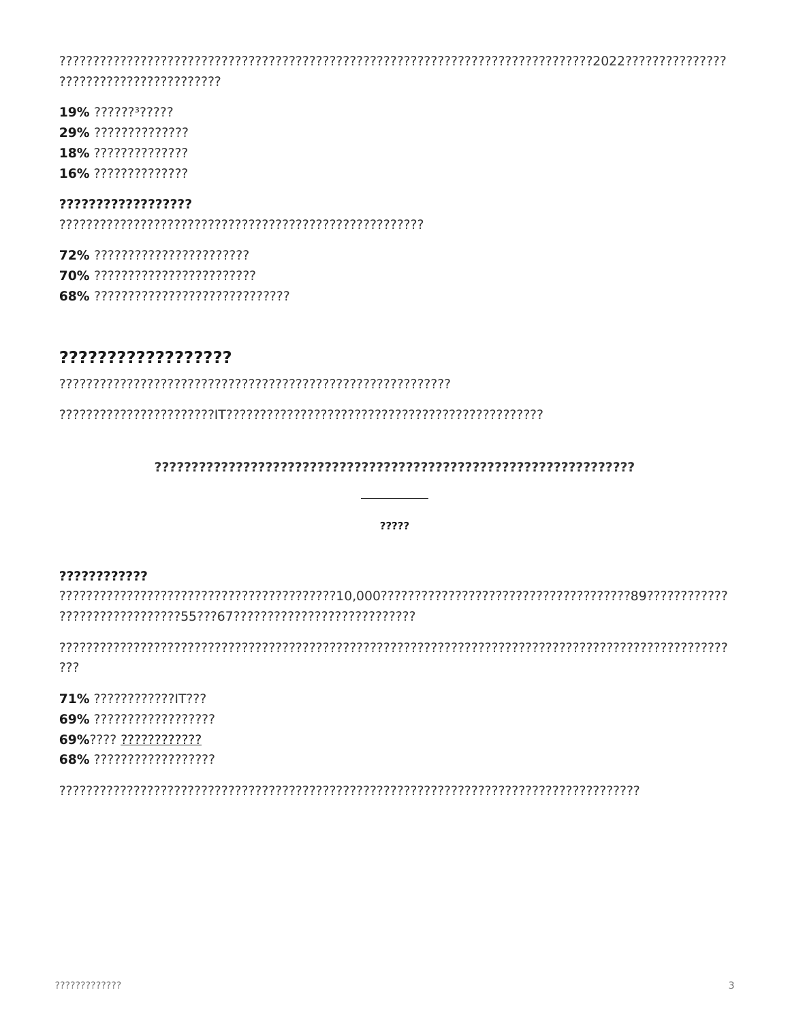????????????????????????

**19%** ???????????? 29% ?????????????? 18% ??????????????? 16% ??????????????

### ??????????????????

# ??????????????????

### 

#### ?????

### ????????????

???

**71%** ?????????????!T??? 69% ??????????????????? 69%???? ???????????? 68% ??????????????????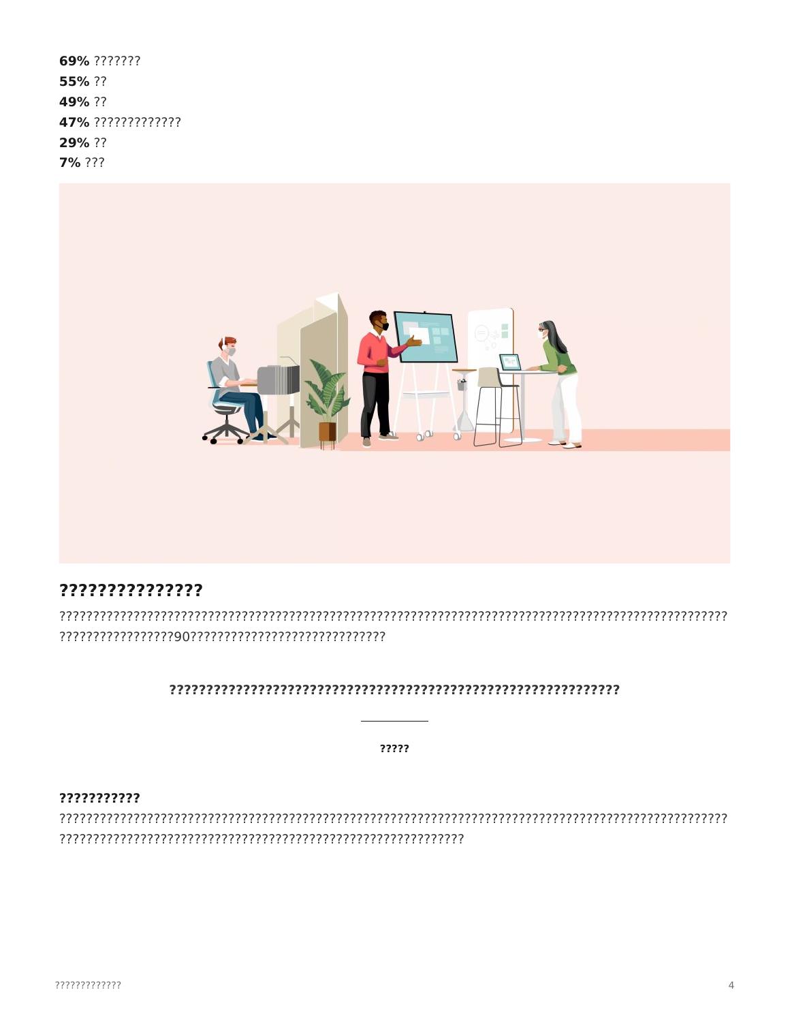69% ??????? 55% ?? 49% ?? 47% ????????????? 29% ?? 7% ???



# ???????????????

### 

?????

#### ???????????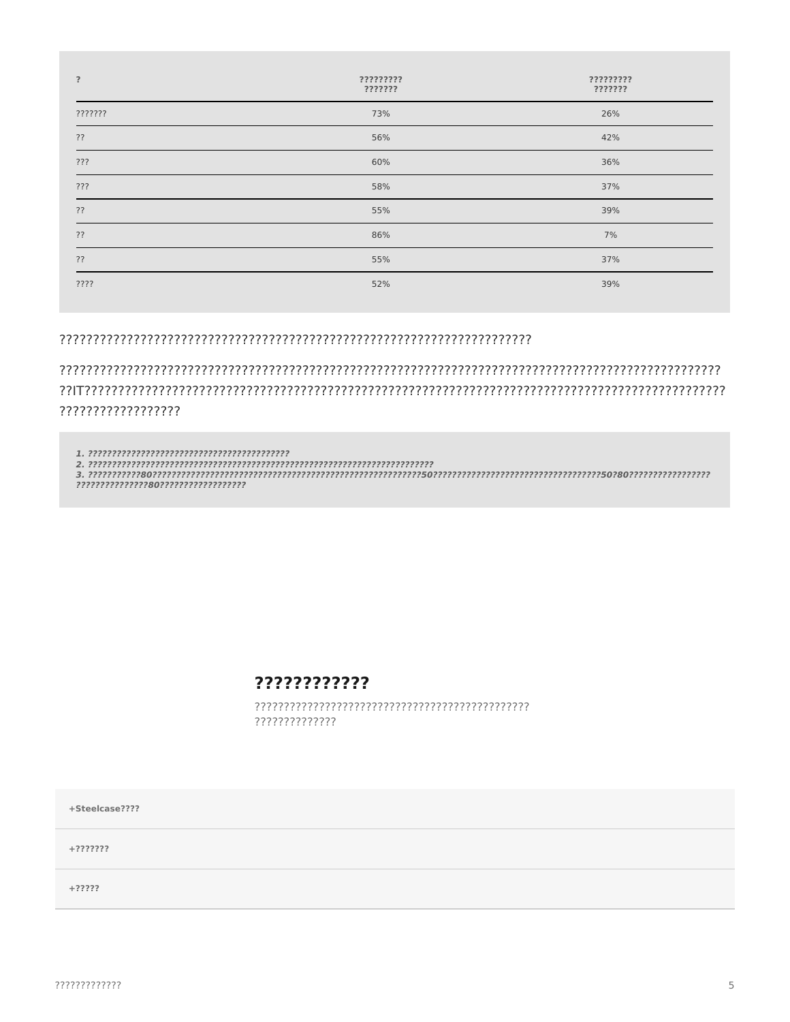| $\overline{?}$ | ?????????<br>??????? | ?????????<br>??????? |
|----------------|----------------------|----------------------|
| ???????        | 73%                  | 26%                  |
| ??             | 56%                  | 42%                  |
| ???            | 60%                  | 36%                  |
| ???            | 58%                  | 37%                  |
| ??             | 55%                  | 39%                  |
| ??             | 86%                  | 7%                   |
| ??             | 55%                  | 37%                  |
| ????           | 52%                  | 39%                  |

### 

???????????????????

### ????????????

??????????????

+Steelcase????  $+2222222$  $+??????$